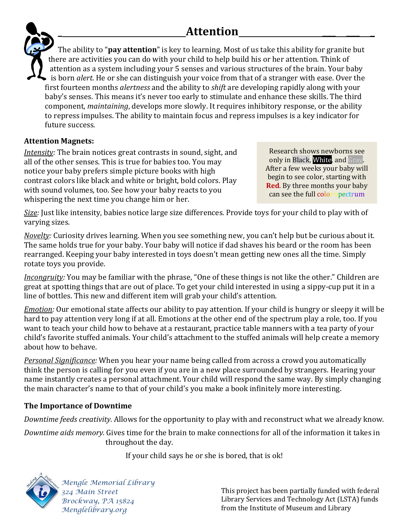## \_ Attention \_\_\_ \_\_\_ \_

The ability to "pay attention" is key to learning. Most of us take this ability for granite but there are activities you can do with your child to help build his or her attention. Think of attention as a system including your 5 senses and various structures of the brain. Your baby  $\bullet$  is born *alert*. He or she can distinguish your voice from that of a stranger with ease. Over the first fourteen months *alertness* and the ability to *shift* are developing rapidly along with your baby's senses. This means it's never too early to stimulate and enhance these skills. The third component, maintaining, develops more slowly. It requires inhibitory response, or the ability to repress impulses. The ability to maintain focus and repress impulses is a key indicator for future success.

### Attention Magnets:

Intensity: The brain notices great contrasts in sound, sight, and all of the other senses. This is true for babies too. You may notice your baby prefers simple picture books with high contrast colors like black and white or bright, bold colors. Play with sound volumes, too. See how your baby reacts to you whispering the next time you change him or her.

Research shows newborns see only in Black, White, and Gray. After a few weeks your baby will begin to see color, starting with **Red.** By three months your baby can see the full color spectrum

Size: Just like intensity, babies notice large size differences. Provide toys for your child to play with of varying sizes.

Novelty: Curiosity drives learning. When you see something new, you can't help but be curious about it. The same holds true for your baby. Your baby will notice if dad shaves his beard or the room has been rearranged. Keeping your baby interested in toys doesn't mean getting new ones all the time. Simply rotate toys you provide.

Incongruity: You may be familiar with the phrase, "One of these things is not like the other." Children are great at spotting things that are out of place. To get your child interested in using a sippy-cup put it in a line of bottles. This new and different item will grab your child's attention.

Emotion: Our emotional state affects our ability to pay attention. If your child is hungry or sleepy it will be hard to pay attention very long if at all. Emotions at the other end of the spectrum play a role, too. If you want to teach your child how to behave at a restaurant, practice table manners with a tea party of your child's favorite stuffed animals. Your child's attachment to the stuffed animals will help create a memory about how to behave.

Personal Significance: When you hear your name being called from across a crowd you automatically think the person is calling for you even if you are in a new place surrounded by strangers. Hearing your name instantly creates a personal attachment. Your child will respond the same way. By simply changing the main character's name to that of your child's you make a book infinitely more interesting.

### The Importance of Downtime

Downtime feeds creativity. Allows for the opportunity to play with and reconstruct what we already know.

Downtime aids memory. Gives time for the brain to make connections for all of the information it takes in throughout the day.

If your child says he or she is bored, that is ok!



 Mengle Memorial Library 324 Main Street Brockway, PA 15824 Menglelibrary.org

This project has been partially funded with federal Library Services and Technology Act (LSTA) funds from the Institute of Museum and Library